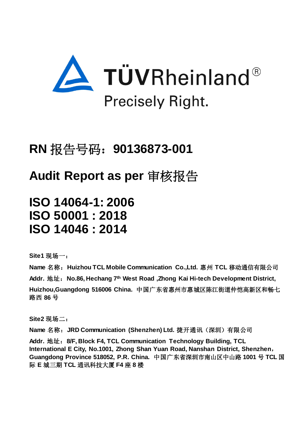

# **RN** 报告号码:**90136873-001**

# **Audit Report as per** 审核报告

**ISO 14064-1: 2006 ISO 50001 : 2018 ISO 14046 : 2014**

**Site1** 现场一:

**Name** 名称:**Huizhou TCL Mobile Communication Co.,Ltd.** 惠州 **TCL** 移动通信有限公司 **Addr.** 地址:**No.86, Hechang 7th West Road ,Zhong Kai Hi-tech Development District, Huizhou,Guangdong 516006 China.** 中国广东省惠州市惠城区陈江街道仲恺高新区和畅七 路西 **86** 号

**Site2** 现场二:

**Name** 名称:**JRD Communication (Shenzhen) Ltd.** 捷开通讯(深圳)有限公司

Addr. 地址: 8/F, Block F4, TCL Communication Technology Building, TCL **International E City, No.1001, Zhong Shan Yuan Road, Nanshan District, Shenzhen**, **Guangdong Province 518052, P.R. China.** 中国广东省深圳市南山区中山路 **1001** 号 **TCL** 国 际 **E** 城三期 **TCL** 通讯科技大厦 **F4** 座 **8** 楼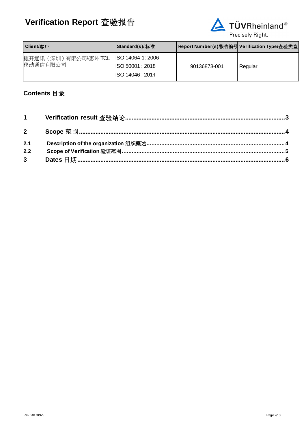

| <b>Client/</b> 客戶              | Standard(s)/标准                                                                       | Report Number(s)/报告编号 Verification Type/査验类型 |         |
|--------------------------------|--------------------------------------------------------------------------------------|----------------------------------------------|---------|
| 捷开通讯(深圳)有限公司&惠州TCL<br>移动通信有限公司 | <b>ISO 14064-1: 2006</b><br>$\textsf{ISO}\,50001:2018$<br>$\textsf{ISO}\,14046:2014$ | 90136873-001                                 | Regular |

# **Contents** 目录

| 2.1            |  |
|----------------|--|
| 2.2            |  |
| 3 <sup>1</sup> |  |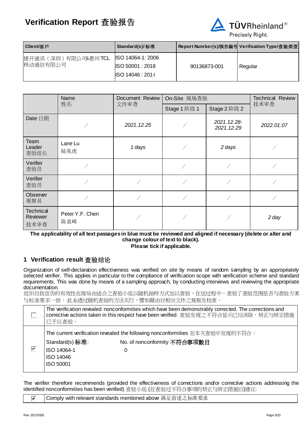

| Client/客戶                        | Standard(s)/标准                                                                       |              | Report Number(s)/报告编号 Verification Type/查验类型 |
|----------------------------------|--------------------------------------------------------------------------------------|--------------|----------------------------------------------|
| 捷开通讯 (深圳) 有限公司&惠州TCL<br>移动通信有限公司 | <b>ISO 14064-1: 2006</b><br>$\textsf{ISO}\,50001:2018$<br>$\textsf{ISO}\,14046:2014$ | 90136873-001 | Regular                                      |

| Name                                 |                        | Document Review | On-Site 现场查验 |                           | <b>Technical Review</b> |  |
|--------------------------------------|------------------------|-----------------|--------------|---------------------------|-------------------------|--|
|                                      | 姓名                     | 文件审查            | Stage 1 阶段 1 | Stage 2 阶段 2              | 技术审查                    |  |
| Date 日期                              |                        | 2021.12.25      |              | 2021.12.28-<br>2021.12.29 | 2022.01.07              |  |
| Team<br>Leader<br>查验组长               | Lane Lu<br>陆兆虎         | 1 days          |              | 2 days                    |                         |  |
| Verifier<br>查验员                      |                        |                 |              |                           |                         |  |
| Verifier<br>查验员                      |                        |                 |              |                           |                         |  |
| Observer<br>观察员                      |                        |                 |              |                           |                         |  |
| <b>Technical</b><br>Reviewer<br>技术审查 | Peter Y.F. Chen<br>陈袁峰 |                 |              |                           | 2 day                   |  |

**The applicability of all text passages in blue must be reviewed and aligned if necessary (delete or alter and change colour of text to black). Please tick if applicable.**

## <span id="page-2-0"></span>**1 Verification result** 查验结论

Organization of self-declaration effectiveness was verified on site by means of random sampling by an appropriately selected verifier. This applies in particular to the compliance of verification scope with verification scheme and standard requirements. This was done by means of a sampling approach, by conducting interviews and reviewing the appropriate documentation.

组织自我宣告的有效性在现场由适合之查验小组以随机抽样方式加以查验,在这过程中,查验了查验范围是否与查验方案 与标准要求一致。此系透过随机查验的方法实行,譬如藉由对相关文件之观察及检查。

|   | 已予以查验。                                                          | The verification revealed nonconformities which have been demonstrably corrected. The corrections and<br>corrective actions taken in this respect have been verified. 查验发现之不符合显示已经消除,矫正与矫正措施 |
|---|-----------------------------------------------------------------|----------------------------------------------------------------------------------------------------------------------------------------------------------------------------------------------|
| ☑ | Standard(s) 标准:<br>ISO 14064-1<br>ISO 14046<br><b>ISO 50001</b> | The current verification revealed the following nonconformities 在本次查验中发现的不符合:<br>No. of nonconformity 不符合事项數目                                                                                |

The verifier therefore recommends (provided the effectiveness of corrections and/or corrective actions addressing the identified nonconformities has been verified) 查验小组 (在查验过不符合事项的矫正与矫正措施后)建议:

|  | ◘ │ Comply with relevant standards mentioned above 满足前述之标准要求 |
|--|--------------------------------------------------------------|
|--|--------------------------------------------------------------|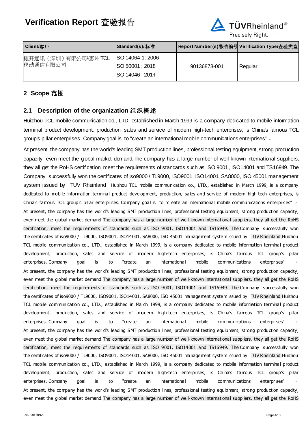

| Client/客戶                        | Standard(s)/ 标准                                                                      |              | Report Number(s)/报告编号 Verification Type/查验类型 |
|----------------------------------|--------------------------------------------------------------------------------------|--------------|----------------------------------------------|
| 捷开通讯 (深圳) 有限公司&惠州TCL<br>移动通信有限公司 | <b>ISO 14064-1: 2006</b><br>$\textsf{ISO}\,50001:2018$<br>$\textsf{ISO}\,14046:2014$ | 90136873-001 | Regular                                      |

# <span id="page-3-0"></span>**2 Scope** 范围

### <span id="page-3-1"></span>**2.1 Description of the organization** 组织概述

Huizhou TCL mobile communication co., LTD. established in March 1999 is a company dedicated to mobile information terminal product development, production, sales and service of modern high-tech enterprises, is China's famous TCL group's pillar enterprises. Company goal is to "create an international mobile communications enterprises" 。

At present, the company has the world's leading SMT production lines, professional testing equipment, strong production capacity, even meet the global market demand.The company has a large number of well-known international suppliers, they all get the RoHS certification, meet the requirements of standards such as ISO 9001, ISO14001 and TS16949. The Company successfully won the certificates of iso9000 / TL9000, ISO9001, ISO14001, SA8000, ISO 45001 management system issued by TUV Rheinland Huizhou TCL mobile communication co., LTD., established in March 1999, is a company dedicated to mobile information terminal product development, production, sales and service of modern high-tech enterprises, is China's famous TCL group's pillar enterprises. Company goal is to "create an international mobile communications enterprises" 。 At present, the company has the world's leading SMT production lines, professional testing equipment, strong production capacity, even meet the global market demand.The company has a large number of well-known international suppliers, they all get the RoHS certification, meet the requirements of standards such as ISO 9001, ISO14001 and TS16949. The Company successfully won the certificates of iso9000 / TL9000, ISO9001, ISO14001, SA8000, ISO 45001 management system issued by TUV Rheinland Huizhou TCL mobile communication co., LTD., established in March 1999, is a company dedicated to mobile information terminal product development, production, sales and service of modern high-tech enterprises, is China's famous TCL group's pillar enterprises. Company goal is to "create an international mobile communications enterprises" At present, the company has the world's leading SMT production lines, professional testing equipment, strong production capacity, even meet the global market demand.The company has a large number of well-known international suppliers, they all get the RoHS certification, meet the requirements of standards such as ISO 9001, ISO14001 and TS16949. The Company successfully won the certificates of iso9000 / TL9000, ISO9001, ISO14001, SA8000, ISO 45001 management system issued by TUV Rheinland Huizhou TCL mobile communication co., LTD., established in March 1999, is a company dedicated to mobile information terminal product development, production, sales and service of modern high-tech enterprises, is China's famous TCL group's pillar enterprises. Company goal is to "create an international mobile communications enterprises" At present, the company has the world's leading SMT production lines, professional testing equipment, strong production capacity, even meet the global market demand.The company has a large number of well-known international suppliers, they all get the RoHS certification, meet the requirements of standards such as ISO 9001, ISO14001 and TS16949. The Company successfully won the certificates of iso9000 / TL9000, ISO9001, ISO14001, SA8000, ISO 45001 management system issued by TUV Rheinland Huizhou TCL mobile communication co., LTD., established in March 1999, is a company dedicated to mobile information terminal product development, production, sales and service of modern high-tech enterprises, is China's famous TCL group's pillar enterprises. Company goal is to "create an international mobile communications enterprises" At present, the company has the world's leading SMT production lines, professional testing equipment, strong production capacity, even meet the global market demand.The company has a large number of well-known international suppliers, they all get the RoHS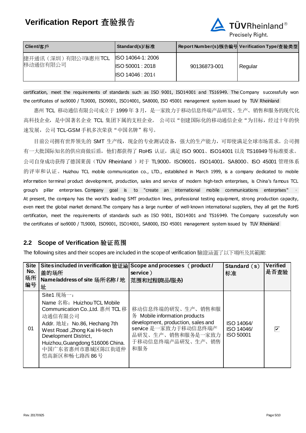

| Client/客戶                        | Standard(s)/标准                                                                       |              | Report Number(s)/报告编号 Verification Type/查验类型 |
|----------------------------------|--------------------------------------------------------------------------------------|--------------|----------------------------------------------|
| 捷开通讯 (深圳) 有限公司&惠州TCL<br>移动通信有限公司 | <b>ISO 14064-1: 2006</b><br>$\textsf{ISO}\,50001:2018$<br>$\textsf{ISO}\,14046:2014$ | 90136873-001 | Regular                                      |

certification, meet the requirements of standards such as ISO 9001, ISO14001 and TS16949. The Company successfully won the certificates of iso9000 / TL9000, ISO9001, ISO14001, SA8000, ISO 45001 management system issued by TUV Rheinland

惠州 TCL 移动通信有限公司成立于 1999年 3 月,是一家致力于移动信息终端产品研发、生产、销售和服务的现代化 高科技企业,是中国著名企业 TCL 集团下属的支柱企业。 公司以"创建国际化的移动通信企业"为目标,经过十年的快 速发展, 公司 TCL-GSM 手机多次荣获"中国名牌"称号。

目前公司拥有世界领先的 SMT 生产线,现金的专业测试设备,强大的生产能力,可即使满足全球市场需求。公司拥 有一大批国际知名的供应商做后盾,他们都获得了 RoHS 认证,满足 ISO 9001、ISO14001 以及 TS16949 等标准要求。 公司自身成功获得了德国莱茵(TÜV Rheinland )对于 TL9000,ISO9001,ISO14001,SA8000、ISO 45001 管理体系 的评审和认证。Huizhou TCL mobile communication co., LTD., established in March 1999, is a company dedicated to mobile information terminal product development, production, sales and service of modern high-tech enterprises, is China's famous TCL group's pillar enterprises. Company goal is to "create an international mobile communications enterprises" <sup>。</sup> At present, the company has the world's leading SMT production lines, professional testing equipment, strong production capacity, even meet the global market demand.The company has a large number of well-known international suppliers, they all get the RoHS certification, meet the requirements of standards such as ISO 9001, ISO14001 and TS16949. The Company successfully won the certificates of iso9000 / TL9000, ISO9001, ISO14001, SA8000, ISO 45001 management system issued by TUV Rheinland

## <span id="page-4-0"></span>**2.2 Scope of Verification** 验证范围

The following sites and their scopes are included in the scope of verification 驗證涵蓋了以下場所及其範圍:

| <b>Site</b><br>No.<br>场所<br>编号 | Sites included in verification 验证涵 Scope and processes (product /<br>盖的场所<br>Name/address of site 场所名称/ 地<br>址                                                                                                                                            | service)<br> 范围和过程(商品/服务)                                                                                                                                          | Standard $(s)$<br>标准                         | <b>Verified</b><br>是否查验 |
|--------------------------------|-----------------------------------------------------------------------------------------------------------------------------------------------------------------------------------------------------------------------------------------------------------|--------------------------------------------------------------------------------------------------------------------------------------------------------------------|----------------------------------------------|-------------------------|
| 01                             | Site1 现场一:<br>Name 名称: Huizhou TCL Mobile<br>Communication Co., Ltd. 惠州 TCL 移<br>动通信有限公司<br>Addr. 地址: No.86, Hechang 7th<br>West Road, Zhong Kai Hi-tech<br>Development District,<br>Huizhou, Guangdong 516006 China.<br>中国广东省惠州市惠城区陈江街道仲<br>恺高新区和畅七路西86号 | 移动信息终端的研发、生产、销售和服<br>务 Mobile information products<br>development, production, sales and<br>service 是一家致力于移动信息终端产<br>品研发、生产、销售和服务是一家致力<br>于移动信息终端产品研发、生产、销售<br>和服务 | ISO 14064/<br>ISO 14046/<br><b>ISO 50001</b> | ⊽                       |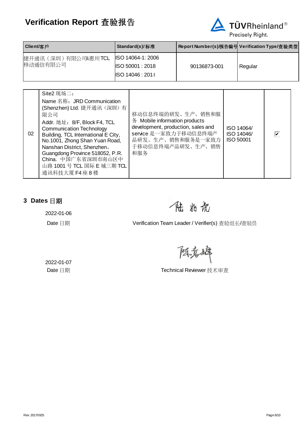

| Client/客戶                        | Standard(s)/标准                                                                         |              | Report Number(s)/报告编号 Verification Type/査验类型 |
|----------------------------------|----------------------------------------------------------------------------------------|--------------|----------------------------------------------|
| 捷开通讯 (深圳) 有限公司&惠州TCL<br>移动通信有限公司 | <b>ISO 14064-1: 2006</b><br>$\textsf{\$ISO}\,50001:2018$<br>$\textsf{ISO}\,14046:2014$ | 90136873-001 | Regular                                      |

| 02 | Site2 现场二:<br>Name 名称: JRD Communication<br>(Shenzhen) Ltd. 捷开通讯 (深圳) 有<br>限公司<br>Addr. 地址: 8/F, Block F4, TCL<br><b>Communication Technology</b><br>Building, TCL International E City,<br>No.1001, Zhong Shan Yuan Road,<br>Nanshan District, Shenzhen,<br>Guangdong Province 518052, P.R.<br>China. 中国广东省深圳市南山区中<br>山路 1001 号 TCL 国际 E 城三期 TCL<br>通讯科技大厦 F4 座 8 楼 | 移动信息终端的研发、生产、销售和服<br>务 Mobile information products<br>development, production, sales and<br>service 是一家致力于移动信息终端产<br>品研发、生产、销售和服务是一家致力<br>于移动信息终端产品研发、生产、销售<br>和服务 | ISO 14064/<br>ISO 14046/<br><b>ISO 50001</b> | $\overline{\blacktriangledown}$ |  |
|----|----------------------------------------------------------------------------------------------------------------------------------------------------------------------------------------------------------------------------------------------------------------------------------------------------------------------------------------------------------------------|--------------------------------------------------------------------------------------------------------------------------------------------------------------------|----------------------------------------------|---------------------------------|--|
|----|----------------------------------------------------------------------------------------------------------------------------------------------------------------------------------------------------------------------------------------------------------------------------------------------------------------------------------------------------------------------|--------------------------------------------------------------------------------------------------------------------------------------------------------------------|----------------------------------------------|---------------------------------|--|

# <span id="page-5-0"></span>**3 Dates** 日期

2022-01-06

任此虎

Date 日期 **Date 日期 Partical State Hatch Verification Team Leader / Verifier(s)** 查验组长/查验员

阻克膦

2022-01-07

Date 日期 **Date 日期 Technical Reviewer** 技术审查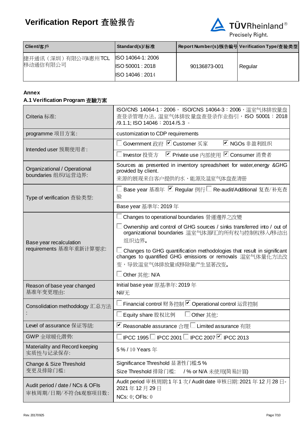

| Client/客戶                      | Standard(s)/标准                                                                         |              | Report Number(s)/报告编号 Verification Type/查验类型 |
|--------------------------------|----------------------------------------------------------------------------------------|--------------|----------------------------------------------|
| 捷开通讯(深圳)有限公司&惠州TCL<br>移动通信有限公司 | <b>ISO 14064-1: 2006</b><br>$\textsf{\$ISO}\,50001:2018$<br>$\textsf{ISO}\,14046:2014$ | 90136873-001 | Regular                                      |

#### **Annex**

#### **A.1 Verification Program** 查驗方案

| Criteria 标准:                                           | ISO/CNS 14064-1: 2006, ISO/CNS 14064-3: 2006, 温室气体排放量盘<br>查登录管理办法, 温室气体排放量盘查登录作业指引, ISO 50001: 2018<br>/9.1.1; ISO 14046: 2014 / 5.3 ·                        |  |  |  |
|--------------------------------------------------------|---------------------------------------------------------------------------------------------------------------------------------------------------------------|--|--|--|
| programme 项目方案:                                        | customization to CDP requirements                                                                                                                             |  |  |  |
| Intended user 预期使用者:                                   | Government 政府 ■ Customer 买家<br>■ NGOs 非盈利组织                                                                                                                   |  |  |  |
|                                                        | ■ Private use 内部使用 ■ Consumer 消费者<br>Investor 投资方                                                                                                             |  |  |  |
| Organizational / Operational<br>boundaries 组织/运营边界:    | Sources as presented in inventory spreadsheet for water, energy &GHG<br>provided by client.<br>来源的展现来自客户提供的水、能源及温室气体盘查清册                                      |  |  |  |
| Type of verification 査验类型:                             | Base year 基准年 ■ Regular 例行□ Re-audit/Additional 复查/补充查<br>验                                                                                                   |  |  |  |
|                                                        | Base year 基準年: 2019年                                                                                                                                          |  |  |  |
|                                                        | Changes to operational boundaries 營運邊界之改變                                                                                                                     |  |  |  |
| Base year recalculation                                | Ownership and control of GHG sources / sinks transferred into / out of<br>organizational boundaries 温室气体源/汇的所有权与控制权移入/移动出<br>组织边界。                            |  |  |  |
| requirements 基准年重新计算要求:                                | Changes to GHG quantification methodologies that result in significant<br>changes to quantified GHG emissions or removals 温室气体量化方法改<br>变,导致温室气体排放量或移除量产生显著改变。 |  |  |  |
|                                                        | $\Box$ Other 其他: N/A                                                                                                                                          |  |  |  |
| Reason of base year changed<br>基准年变更理由:                | Initial base year 原基準年: 2019年<br>Nil/无                                                                                                                        |  |  |  |
| Consolidation methodology 汇总方法                         | Financial control 财务控制 Operational control 运营控制                                                                                                               |  |  |  |
|                                                        | Equity share 股权比例<br>Other 其他:                                                                                                                                |  |  |  |
| Level of assurance 保证等級:                               | ■ Reasonable assurance 合理 ■ Limited assurance 有限                                                                                                              |  |  |  |
| GWP 全球暖化潜势:                                            | $\Box$<br>$\Box$ IPCC 1995 $\Box$ IPCC 2001 $\Box$ IPCC 2007 $\Box$ IPCC 2013                                                                                 |  |  |  |
| Materiality and Record keeping<br>实质性与记录保存:            | 5%/10 Years 年                                                                                                                                                 |  |  |  |
| Change & Size Threshold<br>变更及排除门槛:                    | Significance Threshold 显著性门槛:5%<br>Size Threshold 排除门槛:<br>/% or N/A 未使用(简易計算)                                                                                |  |  |  |
| Audit period / date / NCs & OFIs<br>审核周期/日期/不符合&观察项目数: | Audit period 审核周期:1年1次/Audit date 审核日期: 2021年12月28日-<br>2021年12月29日<br><b>NCs: 0; OFIs: 0</b>                                                                 |  |  |  |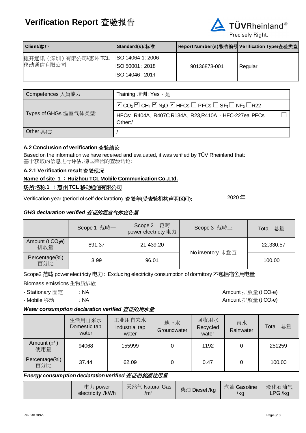

| Client/客戶                        | Standard(s)/标准                                                                   |              | Report Number(s)/报告编号 Verification Type/査验类型 |
|----------------------------------|----------------------------------------------------------------------------------|--------------|----------------------------------------------|
| 捷开通讯 (深圳) 有限公司&惠州TCL<br>移动通信有限公司 | <b>ISO 14064-1: 2006</b><br><b>ISO 50001: 2018</b><br>$\textsf{ISO}\,14046:2014$ | 90136873-001 | Regular                                      |

| Competences 人員能力:     | Training 培训: Yes、是                                                                                                                                     |
|-----------------------|--------------------------------------------------------------------------------------------------------------------------------------------------------|
|                       | $\Box$ CO <sub>2</sub> $\Box$ CH <sub>4</sub> $\Box$ N <sub>2</sub> O $\Box$ HFCs $\Box$ PFCs $\Box$ SF <sub>6</sub> $\Box$ NF <sub>3</sub> $\Box$ R22 |
| Types of GHGs 温室气体类型: | HFCs: R404A, R407C, R134A, R23, R410A, HFC-227ea PFCs:<br>Other:/                                                                                      |
| Other 其他:             |                                                                                                                                                        |

#### **A.2 Conclusion of verification** 查验结论

Based on the information we have received and evaluated, it was verified by TÜV Rheinland that: 基于获取的信息进行评估, 德国莱因的查验结论:

#### **A.2.1 Verification result** 查验现况

#### **Name of site 1** :**Huizhou TCL Mobile Communication Co.,Ltd.**

#### 场所名称**1** :惠州 **TCL** 移动通信有限公司

Verification year (period of self-declaration) 查验年(受查验机构声明区间): 2020 年

#### *GHG declaration verified* 查证的温室气体宣告量

|                                     | Scope 1 范畴一 | Scope 2 范畴<br>power electricty 电力 | Scope 3 范畴三      | Total 总量  |
|-------------------------------------|-------------|-----------------------------------|------------------|-----------|
| Amount (t CO <sub>2</sub> e)<br>排放量 | 891.37      | 21,439.20                         | No inventory 未盘查 | 22,330.57 |
| Percentage(%)<br>百分比                | 3.99        | 96.01                             |                  | 100.00    |

Scope2 范畴 power electricty 电力: Excluding electricity consumption of dormitory 不包括宿舍用电量

Biomass emissions 生物质排放

- Stationary 固定 : NA  $\blacksquare$ 

- Mobile 移动 : NA  $\blacksquare$ 

#### *Water consumption declaration verified* 查证的用水量

|                       | 生活用自来水<br>Domestic tap<br>water | 工业用自来水<br>Industrial tap<br>water | 地下水<br>Groundwater | 回收用水<br>Recycled<br>water | 雨水<br>Rainwater | 总量<br>Total |
|-----------------------|---------------------------------|-----------------------------------|--------------------|---------------------------|-----------------|-------------|
| Amount $(m^3)$<br>使用量 | 94068                           | 155999                            | 0                  | 1192                      | 0               | 251259      |
| Percentage(%)<br>百分比  | 37.44                           | 62.09                             | 0                  | 0.47                      |                 | 100.00      |

#### *Energy consumption declaration verified* 查证的能源使用量

| 电力 power         | 天然气 Natural Gas | 柴油 Diesel /kg | 汽油 Gasoline | 液化石油气  |
|------------------|-----------------|---------------|-------------|--------|
| electricity /kWh | /m $^3$         |               | /kg         | LPG/kg |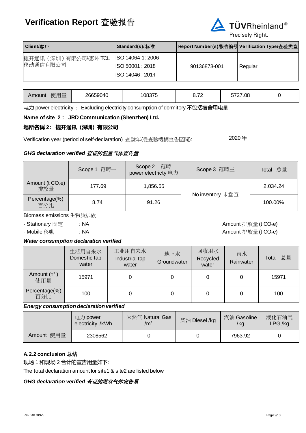

| Client/客戶                        | Standard(s)/标准                                                                       |              | Report Number(s)/报告编号 Verification Type/査验类型 |
|----------------------------------|--------------------------------------------------------------------------------------|--------------|----------------------------------------------|
| 捷开通讯 (深圳) 有限公司&惠州TCL<br>移动通信有限公司 | <b>ISO 14064-1: 2006</b><br>$\textsf{ISO}\,50001:2018$<br>$\textsf{ISO}\,14046:2014$ | 90136873-001 | Regular                                      |

| 使用量<br>Amount | 26659040 | 08375 | $\overline{\phantom{a}}$<br>$\sim$ ., $\sim$ | 5727.08<br>∽ |  |
|---------------|----------|-------|----------------------------------------------|--------------|--|
|---------------|----------|-------|----------------------------------------------|--------------|--|

电力 power electricity : Excluding electricity consumption of dormitory 不包括宿舍用电量

#### **Name of site 2 : JRD Communication (Shenzhen) Ltd.**

#### **場所名稱 2: 捷开通讯(深圳)有限公司**

Verification year (period of self-declaration) 查驗年(受查驗機構宣告區間): 2020 年

#### *GHG declaration verified* 查证的温室气体宣告量

|                                     | Scope 1 范畴一 | Scope 2 范畴<br>power electricty 电力 | Scope 3 范畴三      | Total 总量 |
|-------------------------------------|-------------|-----------------------------------|------------------|----------|
| Amount (t CO <sub>2</sub> e)<br>排放量 | 177.69      | 1,856.55                          | No inventory 未盘查 | 2,034.24 |
| Percentage(%)<br>百分比                | 8.74        | 91.26                             |                  | 100.00%  |

Biomass emissions 生物质排放

- Stationary 固定 : NA  $\blacksquare$ 

## - Mobile 移動 : NA Amount 排放量 (t CO<sub>2</sub>e)

#### *Water consumption declaration verified*

|                       | 生活用自来水<br>Domestic tap<br>water | 工业用自来水<br>Industrial tap<br>water | 地下水<br>Groundwater | 回收用水<br>Recycled<br>water | 雨水<br>Rainwater | Total 总量 |
|-----------------------|---------------------------------|-----------------------------------|--------------------|---------------------------|-----------------|----------|
| Amount $(m^3)$<br>使用量 | 15971                           |                                   | 0                  | 0                         |                 | 15971    |
| Percentage(%)<br>百分比  | 100                             |                                   | 0                  | 0                         | 0               | 100      |

#### *Energy consumption declaration verified*

|            | 电力 power<br>electricity /kWh | 天然气 Natural Gas<br>/m <sup>3</sup> | 柴油 Diesel /kg | 汽油 Gasoline<br>/kg | 液化石油气<br>LPG/kg |
|------------|------------------------------|------------------------------------|---------------|--------------------|-----------------|
| Amount 使用量 | 2308562                      |                                    |               | 7963.92            |                 |

#### **A.2.2 conclusion** 总结

现场 1 和现场 2 合计的宣告用量如下:

The total declaration amount for site1 & site2 are listed below

### *GHG declaration verified* 查证的温室气体宣告量